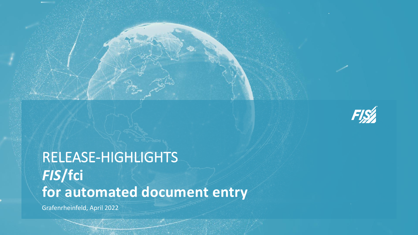

# RELEASE-HIGHLIGHTS *FIS***/fci for automated document entry**

Grafenrheinfeld, April 2022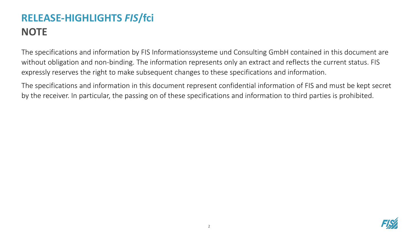## **RELEASE-HIGHLIGHTS** *FIS***/fci NOTE**

The specifications and information by FIS Informationssysteme und Consulting GmbH contained in this document are without obligation and non-binding. The information represents only an extract and reflects the current status. FIS expressly reserves the right to make subsequent changes to these specifications and information.

The specifications and information in this document represent confidential information of FIS and must be kept secret by the receiver. In particular, the passing on of these specifications and information to third parties is prohibited.

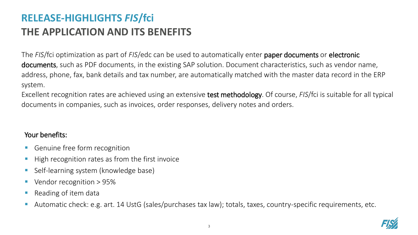### **RELEASE-HIGHLIGHTS** *FIS***/fci THE APPLICATION AND ITS BENEFITS**

The *FIS*/fci optimization as part of *FIS*/edc can be used to automatically enter paper documents or electronic documents, such as PDF documents, in the existing SAP solution. Document characteristics, such as vendor name, address, phone, fax, bank details and tax number, are automatically matched with the master data record in the ERP system.

Excellent recognition rates are achieved using an extensive test methodology. Of course, *FIS*/fci is suitable for all typical documents in companies, such as invoices, order responses, delivery notes and orders.

#### Your benefits:

- Genuine free form recognition
- High recognition rates as from the first invoice
- Self-learning system (knowledge base)
- Vendor recognition > 95%
- Reading of item data
- Automatic check: e.g. art. 14 UstG (sales/purchases tax law); totals, taxes, country-specific requirements, etc.

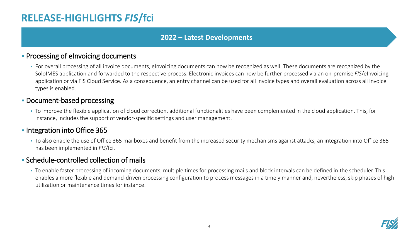### **RELEASE-HIGHLIGHTS** *FIS***/fci**

#### **2022 – Latest Developments**

#### **• Processing of eInvoicing documents**

• For overall processing of all invoice documents, eInvoicing documents can now be recognized as well. These documents are recognized by the SoloIMES application and forwarded to the respective process. Electronic invoices can now be further processed via an on-premise *FIS*/eInvoicing application or via FIS Cloud Service. As a consequence, an entry channel can be used for all invoice types and overall evaluation across all invoice types is enabled.

#### **• Document-based processing**

▪ To improve the flexible application of cloud correction, additional functionalities have been complemented in the cloud application. This, for instance, includes the support of vendor-specific settings and user management.

#### **• Integration into Office 365**

▪ To also enable the use of Office 365 mailboxes and benefit from the increased security mechanisms against attacks, an integration into Office 365 has been implemented in *FIS*/fci.

#### ▪ Schedule-controlled collection of mails

▪ To enable faster processing of incoming documents, multiple times for processing mails and block intervals can be defined in the scheduler. This enables a more flexible and demand-driven processing configuration to process messages in a timely manner and, nevertheless, skip phases of high utilization or maintenance times for instance.